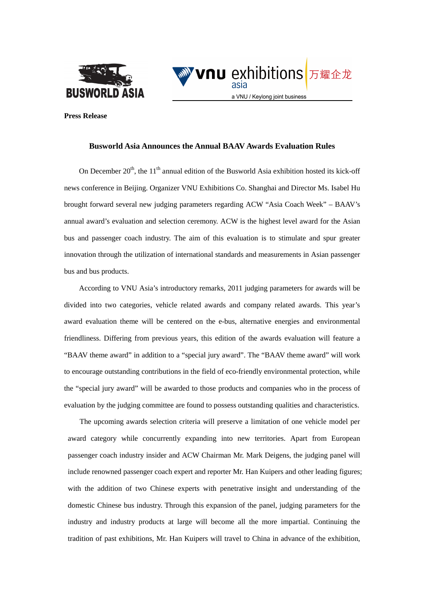



**Press Release** 

### **Busworld Asia Announces the Annual BAAV Awards Evaluation Rules**

On December  $20<sup>th</sup>$ , the 11<sup>th</sup> annual edition of the Busworld Asia exhibition hosted its kick-off news conference in Beijing. Organizer VNU Exhibitions Co. Shanghai and Director Ms. Isabel Hu brought forward several new judging parameters regarding ACW "Asia Coach Week" – BAAV's annual award's evaluation and selection ceremony. ACW is the highest level award for the Asian bus and passenger coach industry. The aim of this evaluation is to stimulate and spur greater innovation through the utilization of international standards and measurements in Asian passenger bus and bus products.

According to VNU Asia's introductory remarks, 2011 judging parameters for awards will be divided into two categories, vehicle related awards and company related awards. This year's award evaluation theme will be centered on the e-bus, alternative energies and environmental friendliness. Differing from previous years, this edition of the awards evaluation will feature a "BAAV theme award" in addition to a "special jury award". The "BAAV theme award" will work to encourage outstanding contributions in the field of eco-friendly environmental protection, while the "special jury award" will be awarded to those products and companies who in the process of evaluation by the judging committee are found to possess outstanding qualities and characteristics.

The upcoming awards selection criteria will preserve a limitation of one vehicle model per award category while concurrently expanding into new territories. Apart from European passenger coach industry insider and ACW Chairman Mr. Mark Deigens, the judging panel will include renowned passenger coach expert and reporter Mr. Han Kuipers and other leading figures; with the addition of two Chinese experts with penetrative insight and understanding of the domestic Chinese bus industry. Through this expansion of the panel, judging parameters for the industry and industry products at large will become all the more impartial. Continuing the tradition of past exhibitions, Mr. Han Kuipers will travel to China in advance of the exhibition,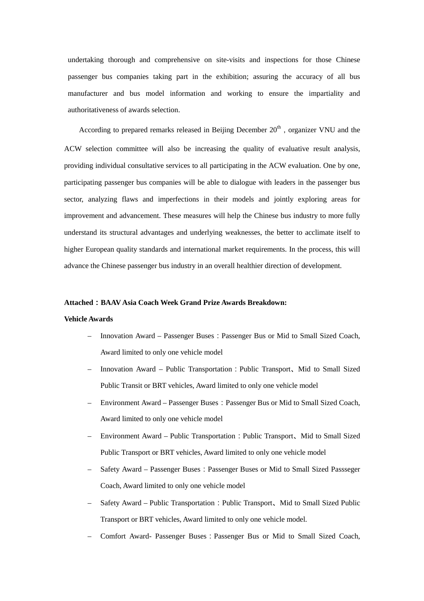undertaking thorough and comprehensive on site-visits and inspections for those Chinese passenger bus companies taking part in the exhibition; assuring the accuracy of all bus manufacturer and bus model information and working to ensure the impartiality and authoritativeness of awards selection.

According to prepared remarks released in Beijing December  $20<sup>th</sup>$ , organizer VNU and the ACW selection committee will also be increasing the quality of evaluative result analysis, providing individual consultative services to all participating in the ACW evaluation. One by one, participating passenger bus companies will be able to dialogue with leaders in the passenger bus sector, analyzing flaws and imperfections in their models and jointly exploring areas for improvement and advancement. These measures will help the Chinese bus industry to more fully understand its structural advantages and underlying weaknesses, the better to acclimate itself to higher European quality standards and international market requirements. In the process, this will advance the Chinese passenger bus industry in an overall healthier direction of development.

#### **Attached**:**BAAV Asia Coach Week Grand Prize Awards Breakdown:**

#### **Vehicle Awards**

- Innovation Award Passenger Buses:Passenger Bus or Mid to Small Sized Coach, Award limited to only one vehicle model
- Innovation Award Public Transportation:Public Transport、Mid to Small Sized Public Transit or BRT vehicles, Award limited to only one vehicle model
- Environment Award Passenger Buses:Passenger Bus or Mid to Small Sized Coach, Award limited to only one vehicle model
- Environment Award Public Transportation:Public Transport、Mid to Small Sized Public Transport or BRT vehicles, Award limited to only one vehicle model
- Safety Award Passenger Buses:Passenger Buses or Mid to Small Sized Passseger Coach, Award limited to only one vehicle model
- Safety Award Public Transportation: Public Transport, Mid to Small Sized Public Transport or BRT vehicles, Award limited to only one vehicle model.
- Comfort Award- Passenger Buses:Passenger Bus or Mid to Small Sized Coach,